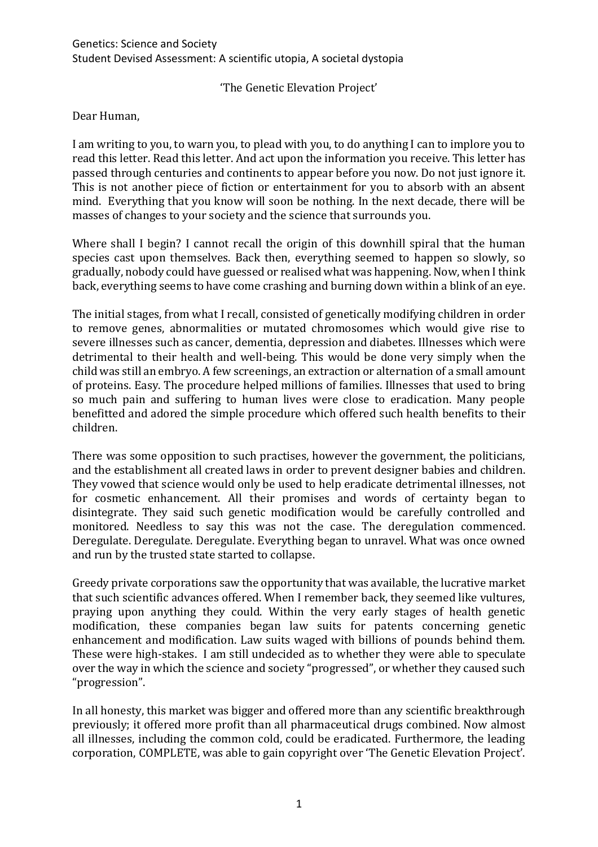'The Genetic Elevation Project'

## Dear Human,

I am writing to you, to warn you, to plead with you, to do anything I can to implore you to read this letter. Read this letter. And act upon the information you receive. This letter has passed through centuries and continents to appear before you now. Do not just ignore it. This is not another piece of fiction or entertainment for you to absorb with an absent mind. Everything that you know will soon be nothing. In the next decade, there will be masses of changes to your society and the science that surrounds you.

Where shall I begin? I cannot recall the origin of this downhill spiral that the human species cast upon themselves. Back then, everything seemed to happen so slowly, so gradually, nobody could have guessed or realised what was happening. Now, when I think back, everything seems to have come crashing and burning down within a blink of an eye.

The initial stages, from what I recall, consisted of genetically modifying children in order to remove genes, abnormalities or mutated chromosomes which would give rise to severe illnesses such as cancer, dementia, depression and diabetes. Illnesses which were detrimental to their health and well-being. This would be done very simply when the child was still an embryo. A few screenings, an extraction or alternation of a small amount of proteins. Easy. The procedure helped millions of families. Illnesses that used to bring so much pain and suffering to human lives were close to eradication. Many people benefitted and adored the simple procedure which offered such health benefits to their children.

There was some opposition to such practises, however the government, the politicians, and the establishment all created laws in order to prevent designer babies and children. They vowed that science would only be used to help eradicate detrimental illnesses, not for cosmetic enhancement. All their promises and words of certainty began to disintegrate. They said such genetic modification would be carefully controlled and monitored. Needless to say this was not the case. The deregulation commenced. Deregulate. Deregulate. Deregulate. Everything began to unravel. What was once owned and run by the trusted state started to collapse.

Greedy private corporations saw the opportunity that was available, the lucrative market that such scientific advances offered. When I remember back, they seemed like vultures, praying upon anything they could. Within the very early stages of health genetic modification, these companies began law suits for patents concerning genetic enhancement and modification. Law suits waged with billions of pounds behind them. These were high-stakes. I am still undecided as to whether they were able to speculate over the way in which the science and society "progressed", or whether they caused such "progression".

In all honesty, this market was bigger and offered more than any scientific breakthrough previously; it offered more profit than all pharmaceutical drugs combined. Now almost all illnesses, including the common cold, could be eradicated. Furthermore, the leading corporation, COMPLETE, was able to gain copyright over 'The Genetic Elevation Project'.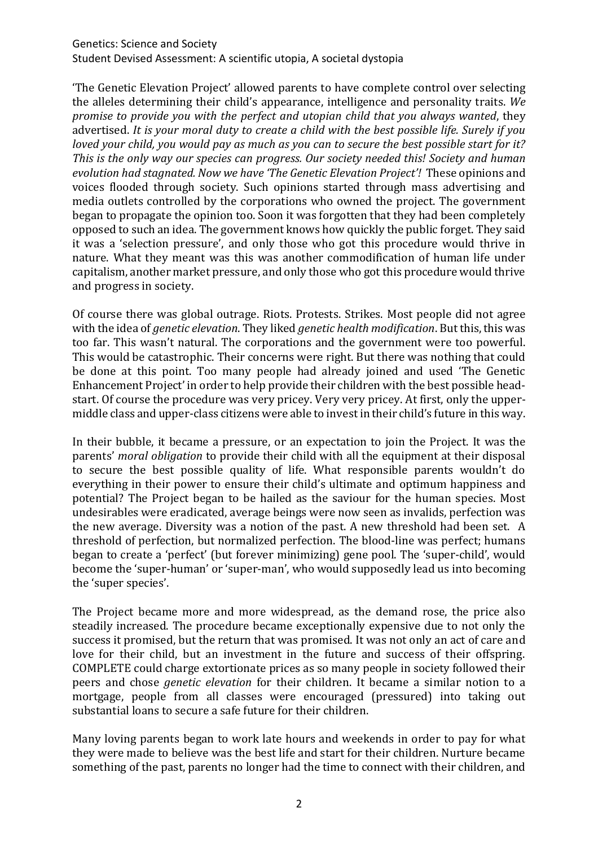## Genetics: Science and Society Student Devised Assessment: A scientific utopia, A societal dystopia

'The Genetic Elevation Project' allowed parents to have complete control over selecting the alleles determining their child's appearance, intelligence and personality traits. *We promise to provide you with the perfect and utopian child that you always wanted*, they advertised. *It is your moral duty to create a child with the best possible life. Surely if you loved your child, you would pay as much as you can to secure the best possible start for it? This is the only way our species can progress. Our society needed this! Society and human evolution had stagnated. Now we have 'The Genetic Elevation Project'!* These opinions and voices flooded through society. Such opinions started through mass advertising and media outlets controlled by the corporations who owned the project. The government began to propagate the opinion too. Soon it was forgotten that they had been completely opposed to such an idea. The government knows how quickly the public forget. They said it was a 'selection pressure', and only those who got this procedure would thrive in nature. What they meant was this was another commodification of human life under capitalism, another market pressure, and only those who got this procedure would thrive and progress in society.

Of course there was global outrage. Riots. Protests. Strikes. Most people did not agree with the idea of *genetic elevation*. They liked *genetic health modification*. But this, this was too far. This wasn't natural. The corporations and the government were too powerful. This would be catastrophic. Their concerns were right. But there was nothing that could be done at this point. Too many people had already joined and used 'The Genetic Enhancement Project' in order to help provide their children with the best possible headstart. Of course the procedure was very pricey. Very very pricey. At first, only the uppermiddle class and upper-class citizens were able to invest in their child's future in this way.

In their bubble, it became a pressure, or an expectation to join the Project. It was the parents' *moral obligation* to provide their child with all the equipment at their disposal to secure the best possible quality of life. What responsible parents wouldn't do everything in their power to ensure their child's ultimate and optimum happiness and potential? The Project began to be hailed as the saviour for the human species. Most undesirables were eradicated, average beings were now seen as invalids, perfection was the new average. Diversity was a notion of the past. A new threshold had been set. A threshold of perfection, but normalized perfection. The blood-line was perfect; humans began to create a 'perfect' (but forever minimizing) gene pool. The 'super-child', would become the 'super-human' or 'super-man', who would supposedly lead us into becoming the 'super species'.

The Project became more and more widespread, as the demand rose, the price also steadily increased. The procedure became exceptionally expensive due to not only the success it promised, but the return that was promised. It was not only an act of care and love for their child, but an investment in the future and success of their offspring. COMPLETE could charge extortionate prices as so many people in society followed their peers and chose *genetic elevation* for their children. It became a similar notion to a mortgage, people from all classes were encouraged (pressured) into taking out substantial loans to secure a safe future for their children.

Many loving parents began to work late hours and weekends in order to pay for what they were made to believe was the best life and start for their children. Nurture became something of the past, parents no longer had the time to connect with their children, and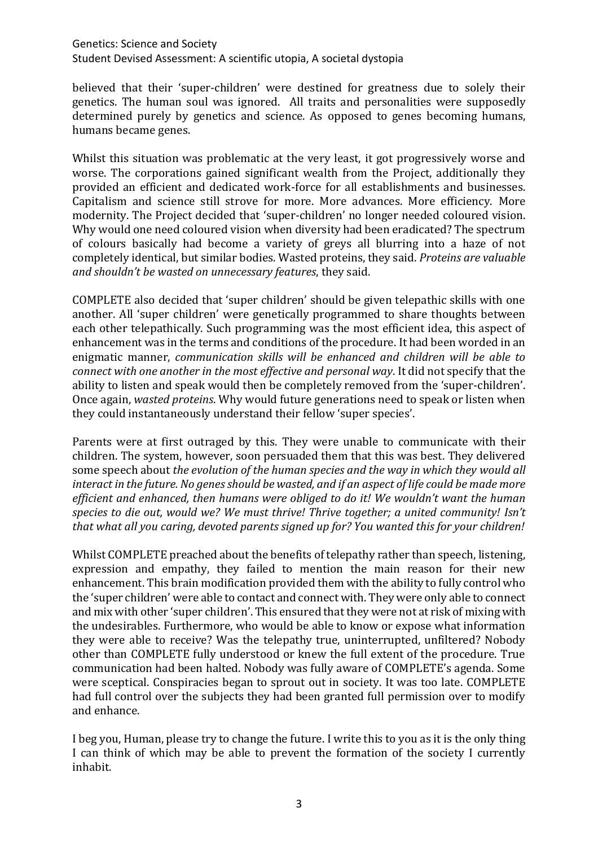## Genetics: Science and Society

Student Devised Assessment: A scientific utopia, A societal dystopia

believed that their 'super-children' were destined for greatness due to solely their genetics. The human soul was ignored. All traits and personalities were supposedly determined purely by genetics and science. As opposed to genes becoming humans, humans became genes.

Whilst this situation was problematic at the very least, it got progressively worse and worse. The corporations gained significant wealth from the Project, additionally they provided an efficient and dedicated work-force for all establishments and businesses. Capitalism and science still strove for more. More advances. More efficiency. More modernity. The Project decided that 'super-children' no longer needed coloured vision. Why would one need coloured vision when diversity had been eradicated? The spectrum of colours basically had become a variety of greys all blurring into a haze of not completely identical, but similar bodies. Wasted proteins, they said. *Proteins are valuable and shouldn't be wasted on unnecessary features*, they said.

COMPLETE also decided that 'super children' should be given telepathic skills with one another. All 'super children' were genetically programmed to share thoughts between each other telepathically. Such programming was the most efficient idea, this aspect of enhancement was in the terms and conditions of the procedure. It had been worded in an enigmatic manner, *communication skills will be enhanced and children will be able to connect with one another in the most effective and personal way*. It did not specify that the ability to listen and speak would then be completely removed from the 'super-children'. Once again, *wasted proteins*. Why would future generations need to speak or listen when they could instantaneously understand their fellow 'super species'.

Parents were at first outraged by this. They were unable to communicate with their children. The system, however, soon persuaded them that this was best. They delivered some speech about *the evolution of the human species and the way in which they would all interact in the future. No genes should be wasted, and if an aspect of life could be made more efficient and enhanced, then humans were obliged to do it! We wouldn't want the human species to die out, would we? We must thrive! Thrive together; a united community! Isn't that what all you caring, devoted parents signed up for? You wanted this for your children!* 

Whilst COMPLETE preached about the benefits of telepathy rather than speech, listening, expression and empathy, they failed to mention the main reason for their new enhancement. This brain modification provided them with the ability to fully control who the 'super children' were able to contact and connect with. They were only able to connect and mix with other 'super children'. This ensured that they were not at risk of mixing with the undesirables. Furthermore, who would be able to know or expose what information they were able to receive? Was the telepathy true, uninterrupted, unfiltered? Nobody other than COMPLETE fully understood or knew the full extent of the procedure. True communication had been halted. Nobody was fully aware of COMPLETE's agenda. Some were sceptical. Conspiracies began to sprout out in society. It was too late. COMPLETE had full control over the subjects they had been granted full permission over to modify and enhance.

I beg you, Human, please try to change the future. I write this to you as it is the only thing I can think of which may be able to prevent the formation of the society I currently inhabit.